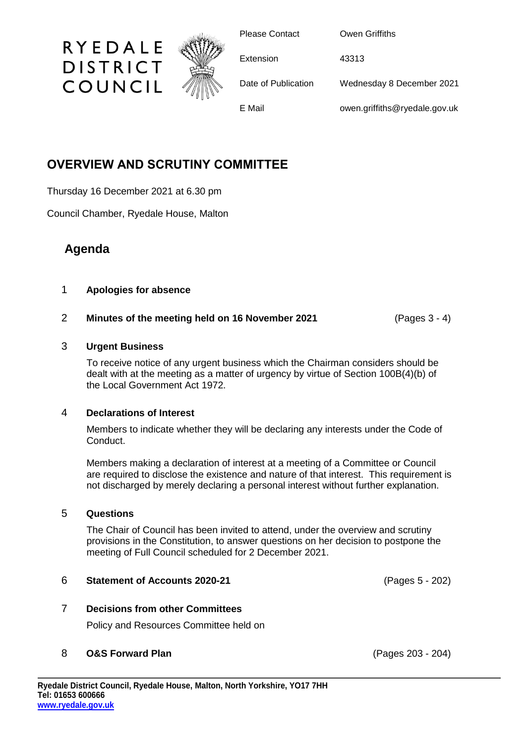

Please Contact **Owen Griffiths** 

Extension 43313

Date of Publication Wednesday 8 December 2021

E Mail owen.griffiths@ryedale.gov.uk

# **OVERVIEW AND SCRUTINY COMMITTEE**

Thursday 16 December 2021 at 6.30 pm

RYEDALE

**DISTRICT** 

COUNCIL

Council Chamber, Ryedale House, Malton

# **Agenda**

# 1 **Apologies for absence**

# 2 **Minutes of the meeting held on 16 November 2021** (Pages 3 - 4)

## 3 **Urgent Business**

To receive notice of any urgent business which the Chairman considers should be dealt with at the meeting as a matter of urgency by virtue of Section 100B(4)(b) of the Local Government Act 1972.

### 4 **Declarations of Interest**

Members to indicate whether they will be declaring any interests under the Code of Conduct.

Members making a declaration of interest at a meeting of a Committee or Council are required to disclose the existence and nature of that interest. This requirement is not discharged by merely declaring a personal interest without further explanation.

### 5 **Questions**

The Chair of Council has been invited to attend, under the overview and scrutiny provisions in the Constitution, to answer questions on her decision to postpone the meeting of Full Council scheduled for 2 December 2021.

### 6 **Statement of Accounts 2020-21** (Pages 5 - 202)

7 **Decisions from other Committees**

Policy and Resources Committee held on

# 8 **O&S Forward Plan** (Pages 203 - 204)